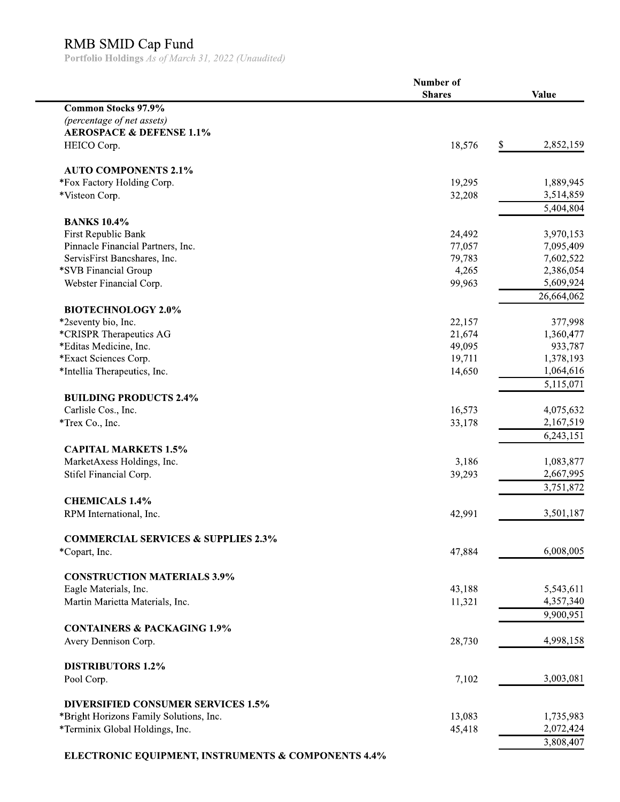RMB SMID Cap Fund<br>Portfolio Holdings As of March 31, 2022 (Unaudited)

|                                                      | Number of     |                 |
|------------------------------------------------------|---------------|-----------------|
|                                                      | <b>Shares</b> | <b>Value</b>    |
| <b>Common Stocks 97.9%</b>                           |               |                 |
| (percentage of net assets)                           |               |                 |
| <b>AEROSPACE &amp; DEFENSE 1.1%</b>                  |               |                 |
| HEICO Corp.                                          | 18,576        | 2,852,159<br>S. |
| <b>AUTO COMPONENTS 2.1%</b>                          |               |                 |
| *Fox Factory Holding Corp.                           | 19,295        | 1,889,945       |
| *Visteon Corp.                                       | 32,208        | 3,514,859       |
|                                                      |               | 5,404,804       |
| <b>BANKS 10.4%</b>                                   |               |                 |
| First Republic Bank                                  | 24,492        | 3,970,153       |
| Pinnacle Financial Partners, Inc.                    | 77,057        | 7,095,409       |
| ServisFirst Bancshares, Inc.                         | 79,783        | 7,602,522       |
| *SVB Financial Group                                 | 4,265         | 2,386,054       |
| Webster Financial Corp.                              | 99,963        | 5,609,924       |
|                                                      |               | 26,664,062      |
| <b>BIOTECHNOLOGY 2.0%</b>                            |               |                 |
| *2seventy bio, Inc.                                  | 22,157        | 377,998         |
| *CRISPR Therapeutics AG                              | 21,674        | 1,360,477       |
| *Editas Medicine, Inc.                               | 49,095        | 933,787         |
| *Exact Sciences Corp.                                | 19,711        | 1,378,193       |
| *Intellia Therapeutics, Inc.                         | 14,650        | 1,064,616       |
|                                                      |               | 5,115,071       |
| <b>BUILDING PRODUCTS 2.4%</b><br>Carlisle Cos., Inc. | 16,573        | 4,075,632       |
|                                                      |               | 2,167,519       |
| *Trex Co., Inc.                                      | 33,178        | 6,243,151       |
| <b>CAPITAL MARKETS 1.5%</b>                          |               |                 |
| MarketAxess Holdings, Inc.                           | 3,186         | 1,083,877       |
| Stifel Financial Corp.                               | 39,293        | 2,667,995       |
|                                                      |               | 3,751,872       |
| <b>CHEMICALS 1.4%</b>                                |               |                 |
| RPM International, Inc.                              | 42,991        | 3,501,187       |
|                                                      |               |                 |
| <b>COMMERCIAL SERVICES &amp; SUPPLIES 2.3%</b>       |               |                 |
| *Copart, Inc.                                        | 47,884        | 6,008,005       |
| <b>CONSTRUCTION MATERIALS 3.9%</b>                   |               |                 |
| Eagle Materials, Inc.                                | 43,188        | 5,543,611       |
| Martin Marietta Materials, Inc.                      | 11,321        | 4,357,340       |
|                                                      |               | 9,900,951       |
| <b>CONTAINERS &amp; PACKAGING 1.9%</b>               |               |                 |
| Avery Dennison Corp.                                 | 28,730        | 4,998,158       |
|                                                      |               |                 |
| <b>DISTRIBUTORS 1.2%</b><br>Pool Corp.               | 7,102         | 3,003,081       |
|                                                      |               |                 |
| <b>DIVERSIFIED CONSUMER SERVICES 1.5%</b>            |               |                 |
| *Bright Horizons Family Solutions, Inc.              | 13,083        | 1,735,983       |
| *Terminix Global Holdings, Inc.                      | 45,418        | 2,072,424       |
|                                                      |               | 3,808,407       |
|                                                      |               |                 |

ELECTRONIC EQUIPMENT, INSTRUMENTS & COMPONENTS 4.4%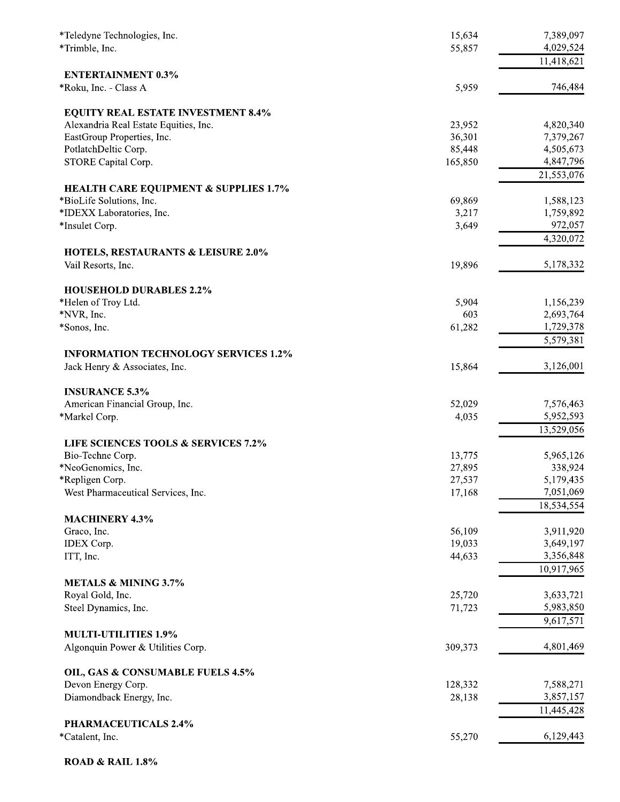| *Teledyne Technologies, Inc.                          | 15,634  | 7,389,097              |
|-------------------------------------------------------|---------|------------------------|
| *Trimble, Inc.                                        | 55,857  | 4,029,524              |
|                                                       |         | 11,418,621             |
| <b>ENTERTAINMENT 0.3%</b><br>*Roku, Inc. - Class A    | 5,959   | 746,484                |
|                                                       |         |                        |
| <b>EQUITY REAL ESTATE INVESTMENT 8.4%</b>             |         |                        |
| Alexandria Real Estate Equities, Inc.                 | 23,952  | 4,820,340              |
| EastGroup Properties, Inc.                            | 36,301  | 7,379,267              |
| PotlatchDeltic Corp.                                  | 85,448  | 4,505,673              |
| STORE Capital Corp.                                   | 165,850 | 4,847,796              |
|                                                       |         | 21,553,076             |
| <b>HEALTH CARE EQUIPMENT &amp; SUPPLIES 1.7%</b>      | 69,869  |                        |
| *BioLife Solutions, Inc.<br>*IDEXX Laboratories, Inc. | 3,217   | 1,588,123<br>1,759,892 |
| *Insulet Corp.                                        | 3,649   | 972,057                |
|                                                       |         | 4,320,072              |
| <b>HOTELS, RESTAURANTS &amp; LEISURE 2.0%</b>         |         |                        |
| Vail Resorts, Inc.                                    | 19,896  | 5,178,332              |
| <b>HOUSEHOLD DURABLES 2.2%</b>                        |         |                        |
| *Helen of Troy Ltd.                                   | 5,904   | 1,156,239              |
| *NVR, Inc.                                            | 603     | 2,693,764              |
| *Sonos, Inc.                                          | 61,282  | 1,729,378              |
|                                                       |         | 5,579,381              |
| <b>INFORMATION TECHNOLOGY SERVICES 1.2%</b>           |         |                        |
| Jack Henry & Associates, Inc.                         | 15,864  | 3,126,001              |
| <b>INSURANCE 5.3%</b>                                 |         |                        |
| American Financial Group, Inc.                        | 52,029  | 7,576,463              |
| *Markel Corp.                                         | 4,035   | 5,952,593              |
|                                                       |         | 13,529,056             |
| <b>LIFE SCIENCES TOOLS &amp; SERVICES 7.2%</b>        |         |                        |
| Bio-Techne Corp.                                      | 13,775  | 5,965,126              |
| *NeoGenomics, Inc.                                    | 27,895  | 338,924                |
| *Repligen Corp.                                       | 27,537  | 5,179,435              |
| West Pharmaceutical Services, Inc.                    | 17,168  | 7,051,069              |
|                                                       |         | 18,534,554             |
| <b>MACHINERY 4.3%</b>                                 |         |                        |
| Graco, Inc.                                           | 56,109  | 3,911,920              |
| <b>IDEX</b> Corp.                                     | 19,033  | 3,649,197              |
| ITT, Inc.                                             | 44,633  | 3,356,848              |
| <b>METALS &amp; MINING 3.7%</b>                       |         | 10,917,965             |
| Royal Gold, Inc.                                      | 25,720  | 3,633,721              |
| Steel Dynamics, Inc.                                  | 71,723  | 5,983,850              |
|                                                       |         | 9,617,571              |
| <b>MULTI-UTILITIES 1.9%</b>                           |         |                        |
| Algonquin Power & Utilities Corp.                     | 309,373 | 4,801,469              |
| OIL, GAS & CONSUMABLE FUELS 4.5%                      |         |                        |
| Devon Energy Corp.                                    | 128,332 | 7,588,271              |
| Diamondback Energy, Inc.                              | 28,138  | 3,857,157              |
|                                                       |         | 11,445,428             |
| PHARMACEUTICALS 2.4%                                  |         |                        |
| *Catalent, Inc.                                       | 55,270  | 6,129,443              |
|                                                       |         |                        |

**ROAD & RAIL 1.8%**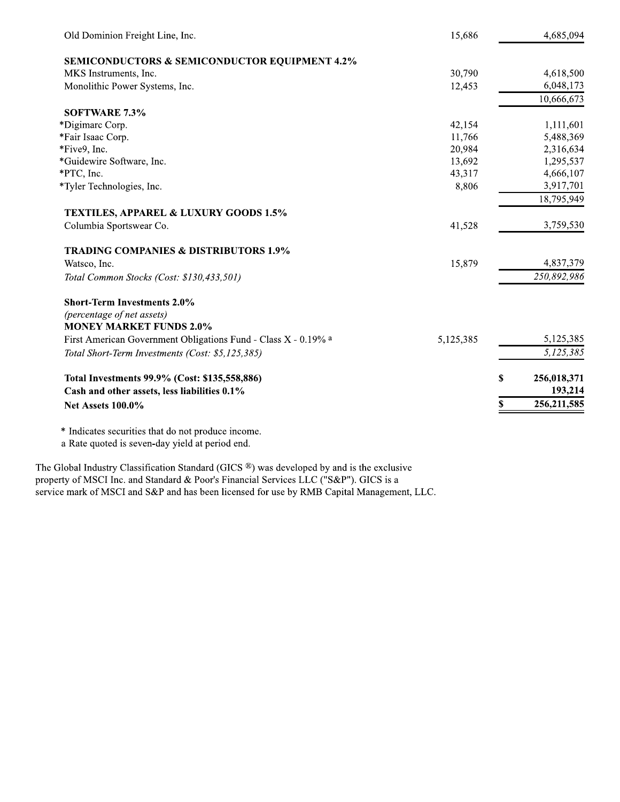| Old Dominion Freight Line, Inc.                                | 15,686    | 4,685,094           |
|----------------------------------------------------------------|-----------|---------------------|
| <b>SEMICONDUCTORS &amp; SEMICONDUCTOR EQUIPMENT 4.2%</b>       |           |                     |
| MKS Instruments, Inc.                                          | 30,790    | 4,618,500           |
| Monolithic Power Systems, Inc.                                 | 12,453    | 6,048,173           |
|                                                                |           | 10,666,673          |
| <b>SOFTWARE 7.3%</b>                                           |           |                     |
| *Digimarc Corp.                                                | 42,154    | 1,111,601           |
| *Fair Isaac Corp.                                              | 11,766    | 5,488,369           |
| *Five9, Inc.                                                   | 20,984    | 2,316,634           |
| *Guidewire Software, Inc.                                      | 13,692    | 1,295,537           |
| *PTC, Inc.                                                     | 43,317    | 4,666,107           |
| *Tyler Technologies, Inc.                                      | 8,806     | 3,917,701           |
|                                                                |           | 18,795,949          |
| <b>TEXTILES, APPAREL &amp; LUXURY GOODS 1.5%</b>               |           |                     |
| Columbia Sportswear Co.                                        | 41,528    | 3,759,530           |
| <b>TRADING COMPANIES &amp; DISTRIBUTORS 1.9%</b>               |           |                     |
| Watsco, Inc.                                                   | 15,879    | 4,837,379           |
| Total Common Stocks (Cost: \$130,433,501)                      |           | 250,892,986         |
| <b>Short-Term Investments 2.0%</b>                             |           |                     |
| (percentage of net assets)                                     |           |                     |
| <b>MONEY MARKET FUNDS 2.0%</b>                                 |           |                     |
| First American Government Obligations Fund - Class X - 0.19% a | 5,125,385 | 5,125,385           |
| Total Short-Term Investments (Cost: \$5,125,385)               |           | 5,125,385           |
| Total Investments 99.9% (Cost: \$135,558,886)                  |           | \$<br>256,018,371   |
| Cash and other assets, less liabilities 0.1%                   |           | 193,214             |
| <b>Net Assets 100.0%</b>                                       |           | \$<br>256, 211, 585 |
| * Indicates securities that do not produce income.             |           |                     |

a Rate quoted is seven-day yield at period end.

The Global Industry Classification Standard (GICS  $\textcircled{B}$ ) was developed by and is the exclusive property of MSCI Inc. and Standard & Poor's Financial Services LLC ("S&P"). GICS is a service mark of MSCI and S&P and has been licensed for use by RMB Capital Management, LLC.